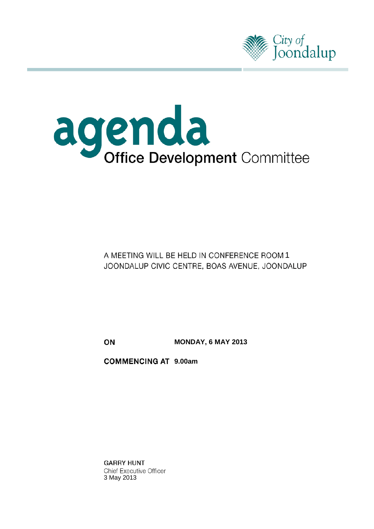



# A MEETING WILL BE HELD IN CONFERENCE ROOM 1 JOONDALUP CIVIC CENTRE, BOAS AVENUE, JOONDALUP

ON **MONDAY, 6 MAY 2013**

**COMMENCING AT 9.00am** 

**GARRY HUNT Chief Executive Officer** 3 May 2013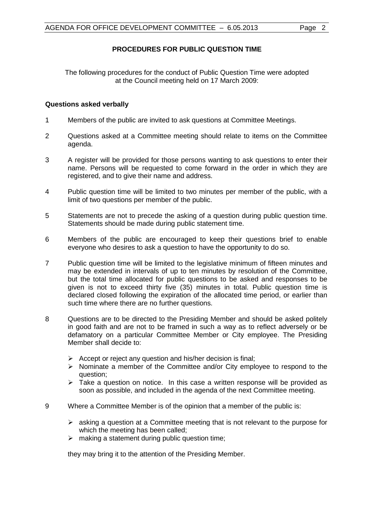## **PROCEDURES FOR PUBLIC QUESTION TIME**

The following procedures for the conduct of Public Question Time were adopted at the Council meeting held on 17 March 2009:

#### **Questions asked verbally**

- 1 Members of the public are invited to ask questions at Committee Meetings.
- 2 Questions asked at a Committee meeting should relate to items on the Committee agenda.
- 3 A register will be provided for those persons wanting to ask questions to enter their name. Persons will be requested to come forward in the order in which they are registered, and to give their name and address.
- 4 Public question time will be limited to two minutes per member of the public, with a limit of two questions per member of the public.
- 5 Statements are not to precede the asking of a question during public question time. Statements should be made during public statement time.
- 6 Members of the public are encouraged to keep their questions brief to enable everyone who desires to ask a question to have the opportunity to do so.
- 7 Public question time will be limited to the legislative minimum of fifteen minutes and may be extended in intervals of up to ten minutes by resolution of the Committee, but the total time allocated for public questions to be asked and responses to be given is not to exceed thirty five (35) minutes in total. Public question time is declared closed following the expiration of the allocated time period, or earlier than such time where there are no further questions.
- 8 Questions are to be directed to the Presiding Member and should be asked politely in good faith and are not to be framed in such a way as to reflect adversely or be defamatory on a particular Committee Member or City employee. The Presiding Member shall decide to:
	- $\triangleright$  Accept or reject any question and his/her decision is final;
	- $\triangleright$  Nominate a member of the Committee and/or City employee to respond to the question;
	- $\triangleright$  Take a question on notice. In this case a written response will be provided as soon as possible, and included in the agenda of the next Committee meeting.
- 9 Where a Committee Member is of the opinion that a member of the public is:
	- $\triangleright$  asking a question at a Committee meeting that is not relevant to the purpose for which the meeting has been called:
	- $\triangleright$  making a statement during public question time;

they may bring it to the attention of the Presiding Member.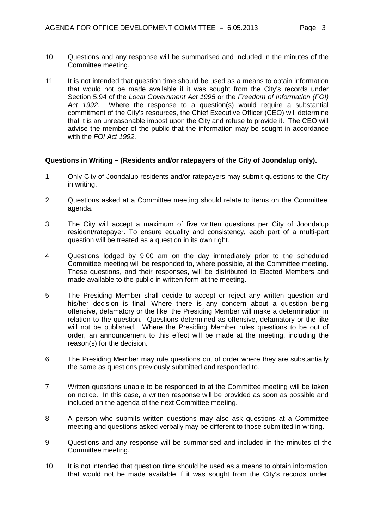- 10 Questions and any response will be summarised and included in the minutes of the Committee meeting.
- 11 It is not intended that question time should be used as a means to obtain information that would not be made available if it was sought from the City's records under Section 5.94 of the *Local Government Act 1995* or the *Freedom of Information (FOI) Act 1992.* Where the response to a question(s) would require a substantial commitment of the City's resources, the Chief Executive Officer (CEO) will determine that it is an unreasonable impost upon the City and refuse to provide it. The CEO will advise the member of the public that the information may be sought in accordance with the *FOI Act 1992*.

## **Questions in Writing – (Residents and/or ratepayers of the City of Joondalup only).**

- 1 Only City of Joondalup residents and/or ratepayers may submit questions to the City in writing.
- 2 Questions asked at a Committee meeting should relate to items on the Committee agenda.
- 3 The City will accept a maximum of five written questions per City of Joondalup resident/ratepayer. To ensure equality and consistency, each part of a multi-part question will be treated as a question in its own right.
- 4 Questions lodged by 9.00 am on the day immediately prior to the scheduled Committee meeting will be responded to, where possible, at the Committee meeting. These questions, and their responses, will be distributed to Elected Members and made available to the public in written form at the meeting.
- 5 The Presiding Member shall decide to accept or reject any written question and his/her decision is final. Where there is any concern about a question being offensive, defamatory or the like, the Presiding Member will make a determination in relation to the question. Questions determined as offensive, defamatory or the like will not be published. Where the Presiding Member rules questions to be out of order, an announcement to this effect will be made at the meeting, including the reason(s) for the decision.
- 6 The Presiding Member may rule questions out of order where they are substantially the same as questions previously submitted and responded to.
- 7 Written questions unable to be responded to at the Committee meeting will be taken on notice. In this case, a written response will be provided as soon as possible and included on the agenda of the next Committee meeting.
- 8 A person who submits written questions may also ask questions at a Committee meeting and questions asked verbally may be different to those submitted in writing.
- 9 Questions and any response will be summarised and included in the minutes of the Committee meeting.
- 10 It is not intended that question time should be used as a means to obtain information that would not be made available if it was sought from the City's records under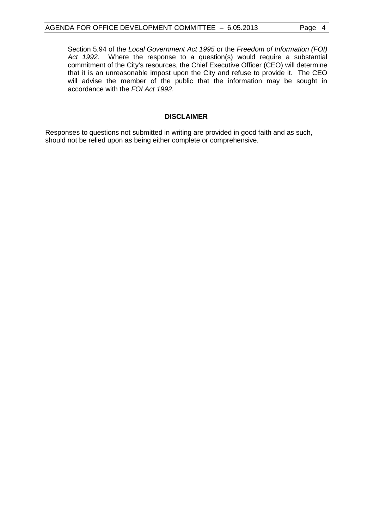Section 5.94 of the *Local Government Act 1995* or the *Freedom of Information (FOI) Act 1992*. Where the response to a question(s) would require a substantial commitment of the City's resources, the Chief Executive Officer (CEO) will determine that it is an unreasonable impost upon the City and refuse to provide it. The CEO will advise the member of the public that the information may be sought in accordance with the *FOI Act 1992*.

#### **DISCLAIMER**

Responses to questions not submitted in writing are provided in good faith and as such, should not be relied upon as being either complete or comprehensive.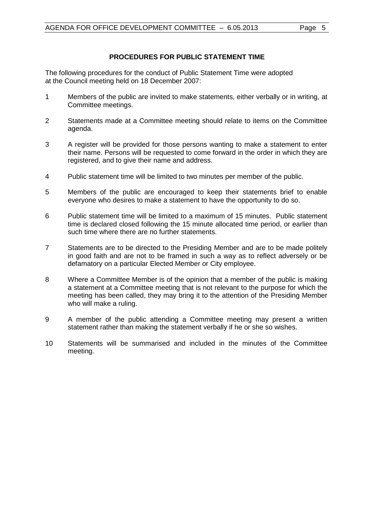## **PROCEDURES FOR PUBLIC STATEMENT TIME**

The following procedures for the conduct of Public Statement Time were adopted at the Council meeting held on 18 December 2007:

- 1 Members of the public are invited to make statements, either verbally or in writing, at Committee meetings.
- 2 Statements made at a Committee meeting should relate to items on the Committee agenda.
- 3 A register will be provided for those persons wanting to make a statement to enter their name. Persons will be requested to come forward in the order in which they are registered, and to give their name and address.
- 4 Public statement time will be limited to two minutes per member of the public.
- 5 Members of the public are encouraged to keep their statements brief to enable everyone who desires to make a statement to have the opportunity to do so.
- 6 Public statement time will be limited to a maximum of 15 minutes. Public statement time is declared closed following the 15 minute allocated time period, or earlier than such time where there are no further statements.
- 7 Statements are to be directed to the Presiding Member and are to be made politely in good faith and are not to be framed in such a way as to reflect adversely or be defamatory on a particular Elected Member or City employee.
- 8 Where a Committee Member is of the opinion that a member of the public is making a statement at a Committee meeting that is not relevant to the purpose for which the meeting has been called, they may bring it to the attention of the Presiding Member who will make a ruling.
- 9 A member of the public attending a Committee meeting may present a written statement rather than making the statement verbally if he or she so wishes.
- 10 Statements will be summarised and included in the minutes of the Committee meeting.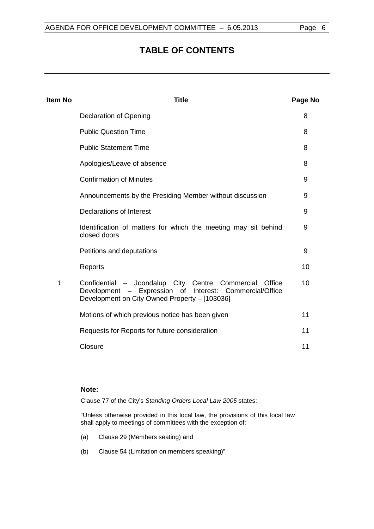# **TABLE OF CONTENTS**

| Item No | <b>Title</b>                                                                                                                                                          |    |  |
|---------|-----------------------------------------------------------------------------------------------------------------------------------------------------------------------|----|--|
|         | <b>Declaration of Opening</b>                                                                                                                                         | 8  |  |
|         | <b>Public Question Time</b>                                                                                                                                           | 8  |  |
|         | <b>Public Statement Time</b>                                                                                                                                          | 8  |  |
|         | Apologies/Leave of absence                                                                                                                                            | 8  |  |
|         | <b>Confirmation of Minutes</b>                                                                                                                                        | 9  |  |
|         | Announcements by the Presiding Member without discussion                                                                                                              | 9  |  |
|         | Declarations of Interest                                                                                                                                              | 9  |  |
|         | Identification of matters for which the meeting may sit behind<br>closed doors                                                                                        | 9  |  |
|         | Petitions and deputations                                                                                                                                             | 9  |  |
|         | Reports                                                                                                                                                               | 10 |  |
| 1       | Confidential - Joondalup City Centre Commercial<br>Office<br>Development - Expression of Interest: Commercial/Office<br>Development on City Owned Property - [103036] | 10 |  |
|         | Motions of which previous notice has been given                                                                                                                       | 11 |  |
|         | Requests for Reports for future consideration                                                                                                                         | 11 |  |
|         | Closure                                                                                                                                                               | 11 |  |
|         |                                                                                                                                                                       |    |  |

#### **Note:**

Clause 77 of the City's *Standing Orders Local Law 2005* states:

"Unless otherwise provided in this local law, the provisions of this local law shall apply to meetings of committees with the exception of:

- (a) Clause 29 (Members seating) and
- (b) Clause 54 (Limitation on members speaking)"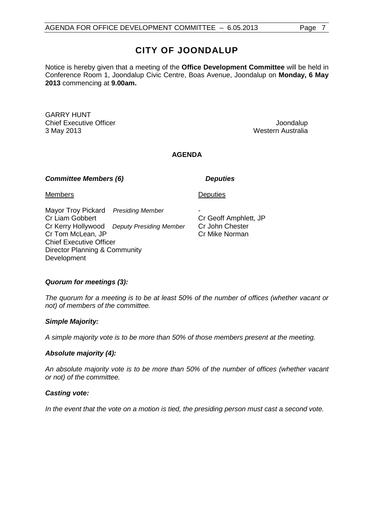# **CITY OF JOONDALUP**

Notice is hereby given that a meeting of the **Office Development Committee** will be held in Conference Room 1, Joondalup Civic Centre, Boas Avenue, Joondalup on **Monday, 6 May 2013** commencing at **9.00am.**

GARRY HUNT Chief Executive Officer **Joondalup** 3 May 2013 Western Australia

## **AGENDA**

#### *Committee Members (6) Deputies*

**Deputies** 

Cr Geoff Amphlett, JP Cr John Chester Cr Mike Norman

-

Members

Mayor Troy Pickard *Presiding Member* Cr Liam Gobbert Cr Kerry Hollywood *Deputy Presiding Member* Cr Tom McLean, JP Chief Executive Officer Director Planning & Community Development

## *Quorum for meetings (3):*

*The quorum for a meeting is to be at least 50% of the number of offices (whether vacant or not) of members of the committee.*

#### *Simple Majority:*

*A simple majority vote is to be more than 50% of those members present at the meeting.*

#### *Absolute majority (4):*

*An absolute majority vote is to be more than 50% of the number of offices (whether vacant or not) of the committee.*

#### *Casting vote:*

*In the event that the vote on a motion is tied, the presiding person must cast a second vote.*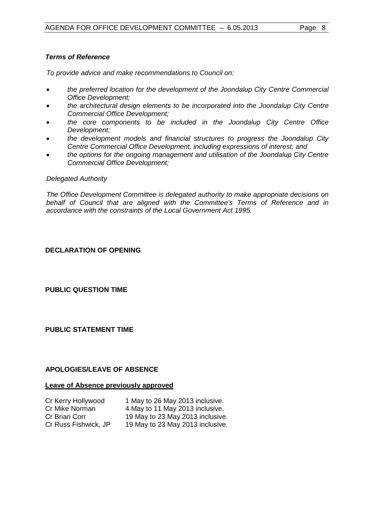### *Terms of Reference*

*To provide advice and make recommendations to Council on:*

- *the preferred location for the development of the Joondalup City Centre Commercial Office Development;*
- *the architectural design elements to be incorporated into the Joondalup City Centre Commercial Office Development;*
- *the core components to be included in the Joondalup City Centre Office Development;*
- *the development models and financial structures to progress the Joondalup City Centre Commercial Office Development, including expressions of interest; and*
- *the options for the ongoing management and utilisation of the Joondalup City Centre Commercial Office Development;*

#### *Delegated Authority*

<span id="page-7-0"></span>*The Office Development Committee is delegated authority to make appropriate decisions on behalf of Council that are aligned with the Committee's Terms of Reference and in accordance with the constraints of the Local Government Act 1995.*

## **DECLARATION OF OPENING**

<span id="page-7-1"></span>**PUBLIC QUESTION TIME**

<span id="page-7-2"></span>**PUBLIC STATEMENT TIME**

#### <span id="page-7-3"></span>**APOLOGIES/LEAVE OF ABSENCE**

#### **Leave of Absence previously approved**

| Cr Kerry Hollywood   | 1 May to 26 May 2013 inclusive.  |
|----------------------|----------------------------------|
| Cr Mike Norman       | 4 May to 11 May 2013 inclusive.  |
| Cr Brian Corr        | 19 May to 23 May 2013 inclusive. |
| Cr Russ Fishwick, JP | 19 May to 23 May 2013 inclusive. |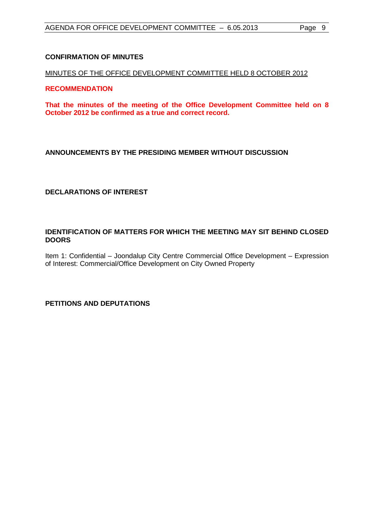### <span id="page-8-0"></span>**CONFIRMATION OF MINUTES**

#### MINUTES OF THE OFFICE DEVELOPMENT COMMITTEE HELD 8 OCTOBER 2012

#### **RECOMMENDATION**

<span id="page-8-1"></span>**That the minutes of the meeting of the Office Development Committee held on 8 October 2012 be confirmed as a true and correct record.**

## **ANNOUNCEMENTS BY THE PRESIDING MEMBER WITHOUT DISCUSSION**

<span id="page-8-2"></span>**DECLARATIONS OF INTEREST**

#### <span id="page-8-3"></span>**IDENTIFICATION OF MATTERS FOR WHICH THE MEETING MAY SIT BEHIND CLOSED DOORS**

<span id="page-8-4"></span>Item 1: Confidential – Joondalup City Centre Commercial Office Development – Expression of Interest: Commercial/Office Development on City Owned Property

#### **PETITIONS AND DEPUTATIONS**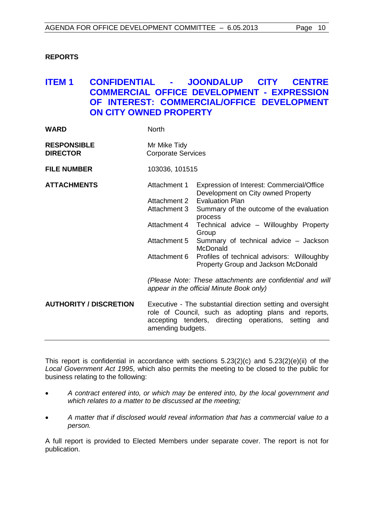### <span id="page-9-0"></span>**REPORTS**

## <span id="page-9-1"></span>**ITEM 1 CONFIDENTIAL - JOONDALUP CITY CENTRE COMMERCIAL OFFICE DEVELOPMENT - EXPRESSION OF INTEREST: COMMERCIAL/OFFICE DEVELOPMENT ON CITY OWNED PROPERTY**

| <b>WARD</b>                           | <b>North</b>                                                                                                                                                                                                                                                                                              |                                                                                                                                                                                                                                                                                                                                                               |  |
|---------------------------------------|-----------------------------------------------------------------------------------------------------------------------------------------------------------------------------------------------------------------------------------------------------------------------------------------------------------|---------------------------------------------------------------------------------------------------------------------------------------------------------------------------------------------------------------------------------------------------------------------------------------------------------------------------------------------------------------|--|
| <b>RESPONSIBLE</b><br><b>DIRECTOR</b> | Mr Mike Tidy<br><b>Corporate Services</b>                                                                                                                                                                                                                                                                 |                                                                                                                                                                                                                                                                                                                                                               |  |
| <b>FILE NUMBER</b>                    | 103036, 101515                                                                                                                                                                                                                                                                                            |                                                                                                                                                                                                                                                                                                                                                               |  |
| <b>ATTACHMENTS</b>                    | Attachment 1<br>Attachment 2<br>Attachment 3<br>Attachment 4<br>Attachment 5<br>Attachment 6                                                                                                                                                                                                              | Expression of Interest: Commercial/Office<br>Development on City owned Property<br><b>Evaluation Plan</b><br>Summary of the outcome of the evaluation<br>process<br>Technical advice - Willoughby Property<br>Group<br>Summary of technical advice - Jackson<br>McDonald<br>Profiles of technical advisors: Willoughby<br>Property Group and Jackson McDonald |  |
| <b>AUTHORITY / DISCRETION</b>         | (Please Note: These attachments are confidential and will<br>appear in the official Minute Book only)<br>Executive - The substantial direction setting and oversight<br>role of Council, such as adopting plans and reports,<br>accepting tenders, directing operations, setting and<br>amending budgets. |                                                                                                                                                                                                                                                                                                                                                               |  |

This report is confidential in accordance with sections 5.23(2)(c) and 5.23(2)(e)(ii) of the *Local Government Act 1995*, which also permits the meeting to be closed to the public for business relating to the following:

- *A contract entered into, or which may be entered into, by the local government and which relates to a matter to be discussed at the meeting;*
- *A matter that if disclosed would reveal information that has a commercial value to a person.*

A full report is provided to Elected Members under separate cover. The report is not for publication.